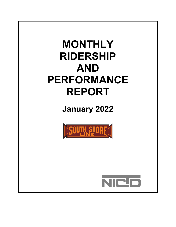# **MONTHLY RIDERSHIP AND PERFORMANCE REPORT**

**January 2022**



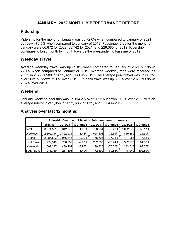# **JANUARY, 2022 MONTHLY PERFORMANCE REPORT**

# **Ridership**

Ridership for the month of January was up 72.6% when compared to January of 2021 but down 70.5% when compared to January of 2019. Passenger trips for the month of January were 66,872 for 2022, 38,742 for 2021, and 226,385 for 2019. Ridership continues to build month by month towards the pre-pandemic baseline of 2019.

### **Weekday Travel**

Average weekday travel was up 59.8% when compared to January of 2021 but down 72.1% when compared to January of 2019. Average weekday trips were recorded as 2,539 in 2022, 1,589 in 2021, and 9,086 in 2019. The average peak travel was up 60.3% over 2021 but down 79.6% over 2019. Off-peak travel was up 58.8% over 2021 but down 70.4% over 2019.

#### **Weekend**

January weekend ridership was up 114.2% over 2021 but down 61.3% over 2019 with an average ridership of 1,355 in 2022, 633 in 2021, and 3,504 in 2019.

| Ridership Over Last 12 Months: February through January |           |           |          |         |            |           |          |  |  |
|---------------------------------------------------------|-----------|-----------|----------|---------|------------|-----------|----------|--|--|
|                                                         | 2018/19   | 2019/20   | % Change | 2020/21 | % Change   | 2021/22   | % Change |  |  |
| Total                                                   | 3,374,591 | 3,312,075 | $-1.85%$ | 778,934 | $-76.48%$  | 1,052,875 | 35.17%   |  |  |
| Weekday                                                 | 2,865,344 | 2,822,974 | $-1.48%$ | 658,108 | $-76.69%$  | 819,359   | 24.50%   |  |  |
| Peak                                                    | 2,085,802 | 2,066,615 | $-0.92%$ | 455,725 | $-77.95%$  | 487,086   | 6.88%    |  |  |
| Off Peak                                                | 779,542   | 756,359   | $-2.97%$ | 202,383 | $-73.24%$  | 332,273   | 64.18%   |  |  |
| Weekend                                                 | 509,247   | 489,101   | $-3.96%$ | 120,826 | $-75.30\%$ | 233,516   | 93.27%   |  |  |
| South Bend                                              | 245,759   | 237,193   | $-3.49%$ | 72,190  | $-69.56%$  | 146,249   | 102.59%  |  |  |

#### **Analysis over last 12 months:**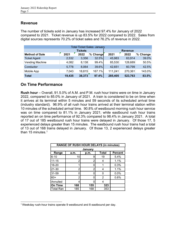#### **Revenue**

The number of tickets sold in January has increased 97.4% for January of 2022 compared to 2021. Ticket revenue is up 83.5% for 2022 compared to 2022. Sales from digital sources represents 70.2% of ticket sales and 76.2% of revenue in 2022.

| <b>Total Ticket Sales: January</b> |        |                |          |         |         |          |  |  |  |
|------------------------------------|--------|----------------|----------|---------|---------|----------|--|--|--|
|                                    |        | <b>Revenue</b> |          |         |         |          |  |  |  |
| <b>Method of Sale</b>              | 2021   | 2022           | % Change | 2021    | 2022    | % Change |  |  |  |
| <b>Ticket Agent</b>                | 2,532  | 3,356          | 32.5%    | 45,983  | 63,914  | 39.0%    |  |  |  |
| Vending Machine                    | 4,082  | 8,138          | 99.4%    | 85,530  | 128,689 | 50.5%    |  |  |  |
| Conductor                          | 5,778  | 8,064          | 39.6%    | 42,651  | 60,799  | 42.5%    |  |  |  |
| Mobile App                         | 7,043  | 18,815         | 167.1%   | 111,241 | 270,361 | 143.0%   |  |  |  |
| Total                              | 19,435 | 38,373         | 97.4%    | 285,405 | 523,763 | 83.5%    |  |  |  |

### **On Time Performance**

**Rush hour** – Overall, 91.5.0% of A.M. and P.M. rush hour trains were on time in January 2022, compared to 85.0% in January of 2021. A train is considered to be on time when it arrives at its terminal within 5 minutes and 59 seconds of its scheduled arrival time (industry standard). 96.9% of all rush hour trains arrived at their terminal station within 10 minutes of the scheduled arrival time. 90.8% of westbound morning rush hour service was on time compared to 81.1% in January 2021; while eastbound rush hour trains reported an on time performance of 92.3% compared to 98.4% in January 2021. A total of 17 out of 185 westbound rush hour trains were delayed in January. Of those 17, 5 experienced delays greater than 15 minutes. The eastbound rush hour trains had a total of 13 out of 168 trains delayed in January. Of those 13, 2 experienced delays greater than [1](#page-2-0)5 minutes. $1$ 

| <b>RANGE OF RUSH HOUR DELAYS (in minutes)</b> |                |      |              |                |  |  |  |  |  |  |
|-----------------------------------------------|----------------|------|--------------|----------------|--|--|--|--|--|--|
|                                               | January        |      |              |                |  |  |  |  |  |  |
| Range                                         | a.m.           | p.m. | <b>Total</b> | <b>Percent</b> |  |  |  |  |  |  |
| $6 - 10$                                      | 10             | 9    | 19           | 5.4%           |  |  |  |  |  |  |
| $11 - 15$                                     | 2              | 2    |              | 1.1%           |  |  |  |  |  |  |
| 16-20                                         | 1              | U    |              | 0.3%           |  |  |  |  |  |  |
| 21-30                                         | $\overline{2}$ | 2    | 4            | 1.1%           |  |  |  |  |  |  |
| 31-59                                         | 0              | U    | ი            | 0.0%           |  |  |  |  |  |  |
| $60+$                                         | $\overline{2}$ | n    | 2            | 0.6%           |  |  |  |  |  |  |
| Annulled                                      | 4              |      | 4            |                |  |  |  |  |  |  |
| <b>On Time</b>                                | 168            | 155  | 323          |                |  |  |  |  |  |  |
| <b>Total Ran</b>                              | 185            | 168  | 353          |                |  |  |  |  |  |  |

<span id="page-2-0"></span><sup>&</sup>lt;sup>1</sup> Weekday rush-hour trains operate 9 westbound and 8 eastbound per day.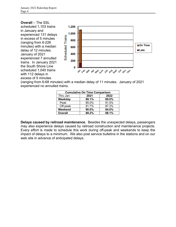**Overall** – The SSL scheduled 1,103 trains in January and experienced 131 delays in excess of 5 minutes (ranging from 6-226 minutes) with a median delay of 12 minutes. January of 2021 experienced 7 annulled trains. In January 2021 the South Shore Line scheduled 1,040 trains with 112 delays in excess of 5 minutes



(ranging from 6-68 minutes) with a median delay of 11 minutes. January of 2021 experienced no annulled trains.

| <b>Cumulative On Time Comparison</b> |       |       |  |  |  |  |  |
|--------------------------------------|-------|-------|--|--|--|--|--|
| Thru Jan.                            | 2021  | 2022  |  |  |  |  |  |
| Weekday                              | 89.1% | 89.0% |  |  |  |  |  |
| Peak                                 | 85.0% | 91.5% |  |  |  |  |  |
| Off-peak                             | 91.7% | 87.3% |  |  |  |  |  |
| Weekend                              | 90.0% | 84.0% |  |  |  |  |  |
| <b>Overall</b>                       | 89.2% | 88.1% |  |  |  |  |  |

**Delays caused by railroad maintenance.** Besides the unexpected delays, passengers may also experience delays caused by railroad construction and maintenance projects. Every effort is made to schedule this work during off-peak and weekends to keep the impact of delays to a minimum. We also post service bulletins in the stations and on our web site in advance of anticipated delays.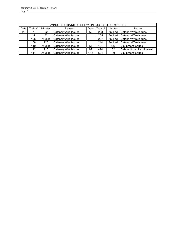|      | ANNULLED TRAINS OR DELAYS IN EXCESS OF 59 MINUTES |                |                             |      |        |                |                             |  |  |  |  |
|------|---------------------------------------------------|----------------|-----------------------------|------|--------|----------------|-----------------------------|--|--|--|--|
| Date | Train #                                           | <b>Minutes</b> | Reason                      | Date | Train# | <b>Minutes</b> | Reason                      |  |  |  |  |
| 1/3  |                                                   | 62             | <b>Catenary Wire Issues</b> | 1/3  | 203    | Anulled        | Catenary Wire Issues        |  |  |  |  |
|      | 14                                                | 72             | <b>Catenary Wire Issues</b> |      | 205    | Anulled        | <b>Catenary Wire Issues</b> |  |  |  |  |
|      | 106                                               | Anulled        | <b>Catenary Wire Issues</b> |      | 207    | Anulled        | <b>Catenary Wire Issues</b> |  |  |  |  |
|      | 108                                               | 226            | <b>Catenary Wire Issues</b> |      | 214    | Anulled        | <b>Catenary Wire Issues</b> |  |  |  |  |
|      | 110                                               | Anulled        | <b>Catenary Wire Issues</b> | 1/5  | 101    | 126            | <b>Equipment Issues</b>     |  |  |  |  |
|      | 112                                               | 216            | <b>Catenary Wire Issues</b> | 1/7  | 424    | 62             | Delayed turn of equipment.  |  |  |  |  |
|      | 114                                               | Anulled        | Catenary Wire Issues        | 1/15 | 504    | 90             | <b>Equipment Issues</b>     |  |  |  |  |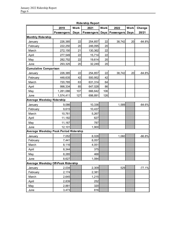|                                       |                   |             | Ridership Report  |             |            |             |          |
|---------------------------------------|-------------------|-------------|-------------------|-------------|------------|-------------|----------|
|                                       | 2019              | <b>Work</b> | 2021              | <b>Work</b> | 2022       | <b>Work</b> | Change   |
|                                       | <b>Passengers</b> | <b>Days</b> | <b>Passengers</b> | <b>Days</b> | Passengers | <b>Days</b> | 20/21    |
| <b>Monthly Ridership</b>              |                   |             |                   |             |            |             |          |
| January                               | 226,385           | 22          | 254,857           | 22          | 38,742     | 20          | $-84.8%$ |
| February                              | 222,250           | 20          | 246,095           | 20          |            |             |          |
| March                                 | 272,150           | 21          | 130,362           | 22          |            |             |          |
| April                                 | 277,549           | 22          | 15,714            | 22          |            |             |          |
| May                                   | 282,752           | 22          | 19,614            | 20          |            |             |          |
| June                                  | 293,325           | 20          | 32,249            | 20          |            |             |          |
| <b>Cumulative Comparison</b>          |                   |             |                   |             |            |             |          |
| January                               | 226,385           | 22          | 254,857           | 22          | 38,742     | 20          | $-84.8%$ |
| February                              | 448,635           | 42          | 500,952           | 42          |            |             |          |
| March                                 | 720,785           | 63          | 631,314           | 64          |            |             |          |
| April                                 | 998,334           | 85          | 647,028           | 86          |            |             |          |
| May                                   | 1,281,086         | 107         | 666,642           | 106         |            |             |          |
| June                                  | 1,574,411         | 127         | 698,891           | 126         |            |             |          |
| Average Weekday Ridership             |                   |             |                   |             |            |             |          |
| January                               | 9,086             |             | 10,336            |             | 1,589      |             | $-84.6%$ |
| February                              | 9,615             |             | 10,437            |             |            |             |          |
| March                                 | 10,761            |             | 5,267             |             |            |             |          |
| April                                 | 11,182            |             | 627               |             |            |             |          |
| May                                   | 11,167            |             | 787               |             |            |             |          |
| June                                  | 12,101            |             | 1,900             |             |            |             |          |
| Average Weekday Peak Period Ridership |                   |             |                   |             |            |             |          |
| January                               | 7,052             |             | 8,028             |             | 1,060      |             | $-86.8%$ |
| February                              | 7,441             |             | 8,057             |             |            |             |          |
| March                                 | 8,116             |             | 4,051             |             |            |             |          |
| April                                 | 8,344             |             | 375               |             |            |             |          |
| May                                   | 8,285             |             | 468               |             |            |             |          |
| June                                  | 8,627             |             | 1,084             |             |            |             |          |
| Average Weekday Off-Peak Ridership    |                   |             |                   |             |            |             |          |
| January                               | 2,034             |             | 2,309             |             | 529        |             | $-77.1%$ |
| February                              | 2,174             |             | 2,381             |             |            |             |          |
| March                                 | 2,645             |             | 1,215             |             |            |             |          |
| April                                 | 2,839             |             | 252               |             |            |             |          |
| May                                   | 2,881             |             | 320               |             |            |             |          |
| June                                  | 3,473             |             | 816               |             |            |             |          |

**Ridership Report**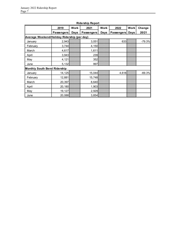| <b>INDERSTRIP REPORT</b>                    |                   |             |                   |             |            |             |          |
|---------------------------------------------|-------------------|-------------|-------------------|-------------|------------|-------------|----------|
|                                             | 2019              | <b>Work</b> | 2021              | <b>Work</b> | 2022       | <b>Work</b> | Change   |
|                                             | <b>Passengers</b> | <b>Days</b> | <b>Passengers</b> | Days        | Passengers | <b>Days</b> | 20/21    |
| Average Weekend/Holiday Ridership (per day) |                   |             |                   |             |            |             |          |
| January                                     | 2,943             |             | 3,051             |             | 633        |             | $-79.3%$ |
| February                                    | 3,744             |             | 4,150             |             |            |             |          |
| March                                       | 4,617             |             | 1,611             |             |            |             |          |
| April                                       | 3,943             |             | 239               |             |            |             |          |
| May                                         | 4,121             |             | 352               |             |            |             |          |
| June                                        | 5,132             |             | 997               |             |            |             |          |
| Monthly South Bend Ridership                |                   |             |                   |             |            |             |          |
| January                                     | 14,125            |             | 15,044            |             | 4,618      |             | $-69.3%$ |
| February                                    | 12,881            |             | 15,748            |             |            |             |          |
| March                                       | 20,397            |             | 8,640             |             |            |             |          |
| April                                       | 20,180            |             | 1,903             |             |            |             |          |
| May                                         | 19,127            |             | 2,929             |             |            |             |          |
| June                                        | 20,088            |             | 3,854             |             |            |             |          |

#### **Ridership Report**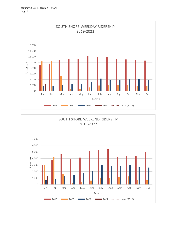

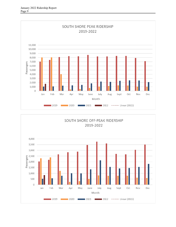

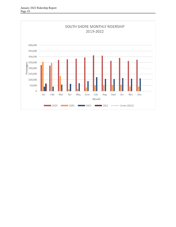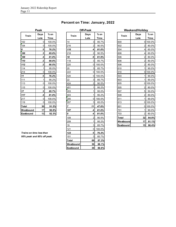|  |  | <b>Percent on Time: January, 2022</b> |  |
|--|--|---------------------------------------|--|
|--|--|---------------------------------------|--|

| Peak      |                |        |  |  |  |  |  |
|-----------|----------------|--------|--|--|--|--|--|
| Train     | Days           | $%$ on |  |  |  |  |  |
|           | Late           | Time   |  |  |  |  |  |
| 102       | 0              | 100.0% |  |  |  |  |  |
| 104       | $\Omega$       | 100.0% |  |  |  |  |  |
| 6         | 5              | 76.2%  |  |  |  |  |  |
| 106       | 3              | 85.0%  |  |  |  |  |  |
| 108       | 4              | 81.0%  |  |  |  |  |  |
| 110       | 2              | 90.0%  |  |  |  |  |  |
| 112       | 2              | 90.5%  |  |  |  |  |  |
| 114       | 1              | 95.0%  |  |  |  |  |  |
| 214       | 0              | 100.0% |  |  |  |  |  |
| 11        | 5              | 76.2%  |  |  |  |  |  |
| 111       | 1              | 95.2%  |  |  |  |  |  |
| 113       | 0              | 100.0% |  |  |  |  |  |
| 115       | $\overline{0}$ | 100.0% |  |  |  |  |  |
| 17        | 3              | 85.7%  |  |  |  |  |  |
| 117       | 4              | 81.0%  |  |  |  |  |  |
| 217       | 0              | 100.0% |  |  |  |  |  |
| 119       | 0              | 100.0% |  |  |  |  |  |
| Total     | 30             | 91.5%  |  |  |  |  |  |
| Westbound | 17             | 90.8%  |  |  |  |  |  |
| Eastbound | 13             | 92.3%  |  |  |  |  |  |

| Train                      | Days<br>$%$ on |             | Train          | Days                    | $%$ on      | <b>Train</b> | Days           | $%$ on      |
|----------------------------|----------------|-------------|----------------|-------------------------|-------------|--------------|----------------|-------------|
|                            | Late           | <b>Time</b> |                | Late                    | <b>Time</b> |              | Late           | <b>Time</b> |
| 102                        | 0              | 100.0%      | 14             | $\overline{3}$          | 85.7%       | 600          |                | 0 100.0%    |
| 104                        | 0              | 100.0%      | 216            | $\overline{2}$          | 90.5%       | 502          | $\overline{2}$ | 80.0%       |
| 6                          | 5              | 76.2%       | 116            | 4                       | 81.0%       | 504          | 4 <sup>1</sup> | 60.0%       |
| 106                        | 3              | 85.0%       | 218            | $\overline{c}$          | 90.5%       | 606          | $\overline{4}$ | 60.0%       |
| 108                        | 4              | 81.0%       | 18             | 8                       | 61.9%       | 506          | 2 <sub>1</sub> | 80.0%       |
| 110                        | 2              | 90.0%       | 118            | $\overline{3}$          | 85.7%       | 608          | $\overline{2}$ | 80.0%       |
| 112                        | $\mathbf{2}$   | 90.5%       | 220            | $\overline{0}$          | 100.0%      | 508          | $\overline{2}$ | 80.0%       |
| 114                        | 1              | 95.0%       | 20             | $\mathbf{3}$            | 85.7%       | 610          | 11             | 90.0%       |
| 214                        | $\pmb{0}$      | 100.0%      | 222            | 0                       | 100.0%      | 510          |                | 0 100.0%    |
| 11                         | 5              | 76.2%       | 420            | 0                       | 100.0%      | 503          | 1 <sup>1</sup> | 90.0%       |
| 111                        | 1              | 95.2%       | 22             | $\overline{3}$          | 85.7%       | 603          | 1 <sup>1</sup> | 90.0%       |
| 113                        | 0              | 100.0%      | 424            | $\overline{\mathbf{c}}$ | 90.5%       | 605          |                | 0 100.0%    |
| 115                        | 0              | 100.0%      | 401            | $\mathbf{1}$            | 95.2%       | 505          | 2 <sub>1</sub> | 80.0%       |
| $17$                       | 3              | 85.7%       | 203            | $\mathbf{1}$            | 95.0%       | 507          | 5 <sub>1</sub> | 50.0%       |
| 117                        | 4              | 81.0%       | 403            | $\mathbf{1}$            | 95.2%       | 509          | $\overline{2}$ | 80.0%       |
| 217                        | $\mathbf 0$    | 100.0%      | 205            | $\overline{0}$          | 100.0%      | 511          |                | 90.0%       |
| 119                        | 0              | 100.0%      | 207            | 3                       | 85.0%       | 613          |                | 0 100.0%    |
| Total                      | 30             | 91.5%       | $\overline{7}$ | 11                      | 47.6%       | 601          |                | 0 100.0%    |
| Westbound                  | 17             | 90.8%       | 107            | 4                       | 81.0%       | 701          |                | 90.0%       |
| Eastbound                  | 13             | 92.3%       | 9              | 4                       | 81.0%       | 703          | $\overline{2}$ | 80.0%       |
|                            |                |             | 109            | $\overline{c}$          | 90.5%       | Total        | 32             | 84.0%       |
|                            |                |             | 209            | $\mathbf{1}$            | 95.2%       | Westbound    | 17             | 81.1%       |
|                            |                |             | 19             | $\overline{3}$          | 85.7%       | Eastbound    | 15             | 86.4%       |
|                            |                |             | 121            | 0                       | 100.0%      |              |                |             |
| Trains on time less than   |                |             | 123            | 5                       | 76.2%       |              |                |             |
| 95% peak and 85% off peak. |                |             | 101            | $\overline{3}$          | 85.7%       |              |                |             |
|                            |                |             | Total          | 69                      | 87.3%       |              |                |             |
|                            |                |             | Westbound      | 30                      | 88.1%       |              |                |             |
|                            |                |             | Eastbound      | 39                      | 86.6%       |              |                |             |

| <b>Off-Peak</b>         |        |              | <b>Weekend/Holiday</b> |        |  |  |  |
|-------------------------|--------|--------------|------------------------|--------|--|--|--|
| Days                    | % on   | <b>Train</b> | Days                   | % on   |  |  |  |
| Late                    | Time   |              | Late                   | Time   |  |  |  |
| 3                       | 85.7%  | 600          | 0                      | 100.0% |  |  |  |
| $\overline{2}$          | 90.5%  | 502          | $\overline{2}$         | 80.0%  |  |  |  |
| 4                       | 81.0%  | 504          | 4                      | 60.0%  |  |  |  |
| $\overline{c}$          | 90.5%  | 606          | 4                      | 60.0%  |  |  |  |
| 8                       | 61.9%  | 506          | $\overline{c}$         | 80.0%  |  |  |  |
| 3                       | 85.7%  | 608          | $\overline{c}$         | 80.0%  |  |  |  |
| 0                       | 100.0% | 508          | $\overline{2}$         | 80.0%  |  |  |  |
| 3                       | 85.7%  | 610          | 1                      | 90.0%  |  |  |  |
| 0                       | 100.0% | 510          | 0                      | 100.0% |  |  |  |
| 0                       | 100.0% | 503          | 1                      | 90.0%  |  |  |  |
| 3                       | 85.7%  | 603          | 1                      | 90.0%  |  |  |  |
| $\overline{c}$          | 90.5%  | 605          | 0                      | 100.0% |  |  |  |
| 1                       | 95.2%  | 505          | $\overline{2}$         | 80.0%  |  |  |  |
| 1                       | 95.0%  | 507          | 5                      | 50.0%  |  |  |  |
| 1                       | 95.2%  | 509          | $\overline{2}$         | 80.0%  |  |  |  |
| 0                       | 100.0% | 511          | 1                      | 90.0%  |  |  |  |
| 3                       | 85.0%  | 613          | 0                      | 100.0% |  |  |  |
| 11                      | 47.6%  | 601          | 0                      | 100.0% |  |  |  |
| 4                       | 81.0%  | 701          | 1                      | 90.0%  |  |  |  |
| 4                       | 81.0%  | 703          | $\overline{2}$         | 80.0%  |  |  |  |
| $\overline{\mathbf{c}}$ | 90.5%  | Total        | 32                     | 84.0%  |  |  |  |
| 1                       | 95.2%  | Westbound    | 17                     | 81.1%  |  |  |  |
| 3                       | 85.7%  | Eastbound    | 15                     | 86.4%  |  |  |  |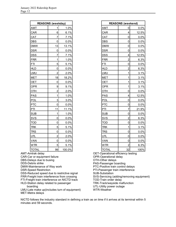| <b>REASONS (weekday)</b> |                |        |  |  |  |  |  |
|--------------------------|----------------|--------|--|--|--|--|--|
| AMT                      | 1              | 1.0%   |  |  |  |  |  |
| CAR                      | 6              | 6.1%   |  |  |  |  |  |
| CAT                      | 7              | 7.1%   |  |  |  |  |  |
| DBS                      | 0              | 0.0%   |  |  |  |  |  |
| <b>DMW</b>               | 13             | 13.1%  |  |  |  |  |  |
| DSR                      | 0              | 0.0%   |  |  |  |  |  |
| DSS                      | 7              | 7.1%   |  |  |  |  |  |
| <b>FRR</b>               | 1              | 1.0%   |  |  |  |  |  |
| FTI                      | 5              | 5.1%   |  |  |  |  |  |
| <b>HLD</b>               | 0              | 0.0%   |  |  |  |  |  |
| LMU                      | $\overline{c}$ | 2.0%   |  |  |  |  |  |
| <b>MET</b>               | 18             | 18.2%  |  |  |  |  |  |
| OET                      | 0              | 0.0%   |  |  |  |  |  |
| OPR                      | $\overline{9}$ | 9.1%   |  |  |  |  |  |
| OTH                      | $\overline{2}$ | 2.0%   |  |  |  |  |  |
| <b>PAS</b>               | $\overline{1}$ | 1.0%   |  |  |  |  |  |
| POL                      | 3              | 3.0%   |  |  |  |  |  |
| <b>PTC</b>               | 0              | 0.0%   |  |  |  |  |  |
| PTI                      | 11             | 11.1%  |  |  |  |  |  |
| <b>SUB</b>               | 1              | 1.0%   |  |  |  |  |  |
| SVS                      | 0              | 0.0%   |  |  |  |  |  |
| <b>TOD</b>               | 0              | 0.0%   |  |  |  |  |  |
| <b>TRK</b>               | 5              | 5.1%   |  |  |  |  |  |
| <b>TRS</b>               | 0              | 0.0%   |  |  |  |  |  |
| UTL                      | $\overline{c}$ | 2.0%   |  |  |  |  |  |
| VAN                      | 0              | 0.0%   |  |  |  |  |  |
| <b>WTR</b>               | 5              | 5.1%   |  |  |  |  |  |
| <b>TOTAL</b>             | 99             | 100.0% |  |  |  |  |  |

|  | AMT-Amtrak delay |  |  |
|--|------------------|--|--|
|--|------------------|--|--|

CAR-Car or equipment failure

DBS-Delays due to busing

DDS-Debris strike

DMW-Maintenance of Way work

DSR-Speed Restriction

DSS-Reduced speed due to restrictive signal FRR-Freight train interference from crossing FTI-Freight train interference on NICTD track

HLD-Station delay related to passenger

boarding

LMU-Late make up(includes turn of equipment) MET-Metra delays

| <b>REASONS (weekday)</b> |                |        | <b>REASONS (weekend)</b> |                |       |  |  |  |
|--------------------------|----------------|--------|--------------------------|----------------|-------|--|--|--|
| AMT                      | 1              | 1.0%   | <b>AMT</b>               | 0              | 0.0%  |  |  |  |
| CAR                      | 6              | 6.1%   | CAR                      | 4              | 12.5% |  |  |  |
| <b>CAT</b>               | 7              | 7.1%   | CAT                      | 0              | 0.0%  |  |  |  |
| DBS                      | 0              | 0.0%   | <b>DBS</b>               | 0              | 0.0%  |  |  |  |
| <b>DMW</b>               | 13             | 13.1%  | <b>DMW</b>               | 0              | 0.0%  |  |  |  |
| DSR                      | 0              | 0.0%   | <b>DSR</b>               | 0              | 0.0%  |  |  |  |
| DSS                      | 7              | 7.1%   | <b>DSS</b>               | 4              | 12.5% |  |  |  |
| FRR                      | 1              | 1.0%   | <b>FRR</b>               | $\overline{c}$ | 6.3%  |  |  |  |
| FTI                      | 5              | 5.1%   | <b>FTI</b>               | 0              | 0.0%  |  |  |  |
| <b>HLD</b>               | 0              | 0.0%   | <b>HLD</b>               | $\overline{c}$ | 6.3%  |  |  |  |
| LMU                      | $\overline{2}$ | 2.0%   | LMU                      | 1              | 3.1%  |  |  |  |
| MET                      | 18             | 18.2%  | <b>MET</b>               | 1              | 3.1%  |  |  |  |
| OET                      | 0              | 0.0%   | <b>OET</b>               | 1              | 3.1%  |  |  |  |
| OPR                      | 9              | 9.1%   | <b>OPR</b>               | 1              | 3.1%  |  |  |  |
| OTH                      | $\overline{c}$ | 2.0%   | OTH                      | 0              | 0.0%  |  |  |  |
| PAS                      | 1              | 1.0%   | <b>PAS</b>               | 4              | 12.5% |  |  |  |
| <b>POL</b>               | 3              | 3.0%   | POL                      | 0              | 0.0%  |  |  |  |
| <b>PTC</b>               | $\mathbf 0$    | 0.0%   | <b>PTC</b>               | 0              | 0.0%  |  |  |  |
| PTI                      | 11             | 11.1%  | PTI                      | $\overline{7}$ | 21.9% |  |  |  |
| SUB                      | 1              | 1.0%   | <b>SUB</b>               | 0              | 0.0%  |  |  |  |
| SVS                      | 0              | 0.0%   | SVS                      | $\overline{c}$ | 6.3%  |  |  |  |
| TOD                      | 0              | 0.0%   | <b>TOD</b>               | 0              | 0.0%  |  |  |  |
| <b>TRK</b>               | 5              | 5.1%   | <b>TRK</b>               | 1              | 3.1%  |  |  |  |
| TRS                      | 0              | 0.0%   | <b>TRS</b>               | 0              | 0.0%  |  |  |  |
| UTL                      | $\overline{2}$ | 2.0%   | UTL                      | 0              | 0.0%  |  |  |  |
| VAN                      | 0              | 0.0%   | VAN                      | 0              | 0.0%  |  |  |  |
| WTR                      | 5              | 5.1%   | <b>WTR</b>               | $\overline{2}$ | 6.3%  |  |  |  |
| <b>TOTAL</b>             | 99             | 100.0% | <b>TOTAL</b>             | 32             | 100%  |  |  |  |

OET-Operational efficiency testing OPR-Operational delay OTH-Other delays PAS-Passenger boarding PTC-Positive train control delays PTI-Passenger train interference SUB-Substation SVS-Servicing (adding/removing equipment) TOD-Train order delay TRK-Track/wayside malfunction UTL-Utility power outage WTR-Weather

NICTD follows the industry standard in defining a train as on time if it arrives at its terminal within 5 minutes and 59 seconds.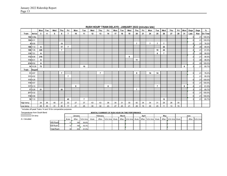|           |               | Mon          | Tue                     | Wed | Thu            | Fri            | Mon | Tue            | Wed | Thu            | Fri | Mon | Tue | Wed | Thu            | Fri | --------------<br>Mon | Tue            | Wed            | Thu | Fri | Mon | Days           | Days | %       |
|-----------|---------------|--------------|-------------------------|-----|----------------|----------------|-----|----------------|-----|----------------|-----|-----|-----|-----|----------------|-----|-----------------------|----------------|----------------|-----|-----|-----|----------------|------|---------|
|           |               |              |                         |     |                | $\overline{7}$ |     | 11             | 12  |                |     |     |     |     |                | 21  |                       |                |                |     |     | 31  |                |      |         |
| Train     | Arrive        | $\mathbf{3}$ | $\overline{\mathbf{4}}$ | 5   | 6              |                | 10  |                |     | 13             | 14  | 17  | 18  | 19  | 20             |     | 24                    | 25             | 26             | 27  | 28  |     | Late           | Ran  | On Time |
|           | 102 5:48a     |              |                         |     |                |                |     |                |     |                |     |     |     |     |                |     |                       |                |                |     |     |     | $\Omega$       | 21   | 100.0%  |
|           | 104 6:31      |              |                         |     |                |                |     |                |     |                |     |     |     |     |                |     |                       |                |                |     |     |     | 0              | 21   | 100.0%  |
|           | 6 6:55        |              |                         |     | 13             |                |     |                |     |                |     |     |     |     | $\overline{7}$ |     | $\overline{7}$        | $\overline{7}$ | $\overline{7}$ |     |     |     | $5 \,$         | 21   | 76.2%   |
|           | 106 7:13      | A            |                         |     | 17             | $\overline{7}$ |     |                |     |                |     |     |     |     |                |     |                       |                | 22             |     |     |     | 3              | 20   | 85.0%   |
|           | 108 7:35      | 226          |                         |     | $\overline{7}$ |                |     |                |     |                |     |     |     |     |                |     |                       | 10             | 24             |     |     |     |                | 21   | 81.0%   |
|           | 110 7:51      | $\mathsf{A}$ |                         |     |                |                |     |                |     |                |     |     |     |     |                |     |                       | 6              | $\overline{7}$ |     |     |     |                | 20   | 90.0%   |
|           | 112 8:08      | 216          |                         |     |                |                |     |                |     |                |     |     |     | 9   |                |     |                       |                |                |     |     |     |                | 21   | 90.5%   |
|           | 114 8:31      | A            |                         |     |                |                |     |                |     |                |     |     |     |     | 11             |     |                       |                |                |     |     |     |                | 20   | 95.0%   |
|           | 214 8:52      | Α            |                         |     |                |                |     |                |     |                |     |     |     |     |                |     |                       |                |                |     |     |     | $\Omega$       | 20   | 100.0%  |
|           | 14 10:28      | 72           |                         |     |                |                |     | 15             |     |                |     |     |     |     |                |     |                       |                |                |     |     | 8   | 3 <sup>1</sup> | 21   | 85.7%   |
| Train     | <b>Depart</b> |              |                         |     |                |                |     |                |     |                |     |     |     |     |                |     |                       |                |                |     |     |     |                |      |         |
|           | 11 3:57       |              |                         |     | $\overline{7}$ |                |     |                |     | $\overline{7}$ |     |     |     |     | 9              |     | 14                    | 14             |                |     |     |     | 5 <sup>1</sup> | 21   | 76.2%   |
|           | 111 4:02      |              |                         |     |                | $\overline{7}$ |     |                |     |                |     |     |     |     |                |     |                       |                |                |     |     |     |                | 21   | 95.2%   |
|           |               |              |                         |     |                |                |     |                |     |                |     |     |     |     |                |     |                       |                |                |     |     |     | $\Omega$       | 21   |         |
|           | 113 4:28      |              |                         |     |                |                |     |                |     |                |     |     |     |     |                |     |                       |                |                |     |     |     |                |      | 100.0%  |
|           | 115 4:57      |              |                         |     |                |                |     |                |     |                |     |     |     |     |                |     |                       |                |                |     |     |     | $\mathbf{0}$   | 21   | 100.0%  |
|           | 117 5:10      |              |                         |     |                |                | 8   |                |     |                | 6   |     |     |     |                |     |                       | $\overline{7}$ |                |     |     | 9   |                | 21   | 81.0%   |
|           | 17 5:28       | 21           |                         |     | 22             |                |     |                |     |                |     |     |     |     | $\overline{7}$ |     |                       |                |                |     |     |     | 3              | 21   | 85.7%   |
|           | 217 5:32      |              |                         |     |                |                |     |                |     |                |     |     |     |     |                |     |                       |                |                |     |     |     | $\Omega$       | 21   | 100.0%  |
|           | 119 5:58      |              |                         |     |                |                |     |                |     |                |     |     |     |     |                |     |                       |                |                |     |     |     | $\mathbf{0}$   | 21   | 100.0%  |
|           | 19 7:10       |              |                         |     |                | 45             |     | $\overline{7}$ |     |                |     |     |     |     |                |     |                       |                | 12             |     |     |     | $\mathcal{B}$  | 21   | 85.7%   |
| High temp |               | 34           | 36                      | 40  | 37             | 33             | 27  | 37             | 43  | 43             | 38  | 30  | 31  | 30  | 42             | 34  | 34                    | 31             | 28             | 26  | 30  |     |                |      |         |
| Low temp  |               | 28           | 30                      | 31  | 30             | 17             | 21  | 25             | 30  | 32             | 23  | 27  | 20  | 21  | 29             | 19  | 30                    | 25             | 11             | 13  | 15  |     |                |      |         |

#### **RUSH HOUR\* TRAIN DELAYS - JANUARY 2022 (minutes late)**

\* Includes off-peak Trains 14 and 19 for comparative purposes

| Temperatures from South Bend |                 |         |                  |          |          |  | MONTHLY SUMMARY OF RUSH HOUR ON TIME PERFORMANCE |  |       |  |     |  |                                                                             |      |      |          |
|------------------------------|-----------------|---------|------------------|----------|----------|--|--------------------------------------------------|--|-------|--|-----|--|-----------------------------------------------------------------------------|------|------|----------|
| On time                      |                 | Januarv |                  |          | February |  | March                                            |  | April |  | Mav |  |                                                                             | June |      |          |
| $A =$ Annulled               |                 | #Late I | #Ran             | %On time | #Late    |  |                                                  |  |       |  |     |  | #Ran Nontime #Late #Ran Nontime #Late #Ran Nontime #Late #Ran Nontime #Late |      | #Ran | %On time |
|                              | <b>IWB Rush</b> |         | 185              | 90.8%    |          |  |                                                  |  |       |  |     |  |                                                                             |      |      |          |
|                              | <b>IEB Rush</b> |         | 168              | 92.3%    |          |  |                                                  |  |       |  |     |  |                                                                             |      |      |          |
|                              | Total Rush      | 30      | 353 <sub>1</sub> | 91.5%    |          |  |                                                  |  |       |  |     |  |                                                                             |      |      |          |